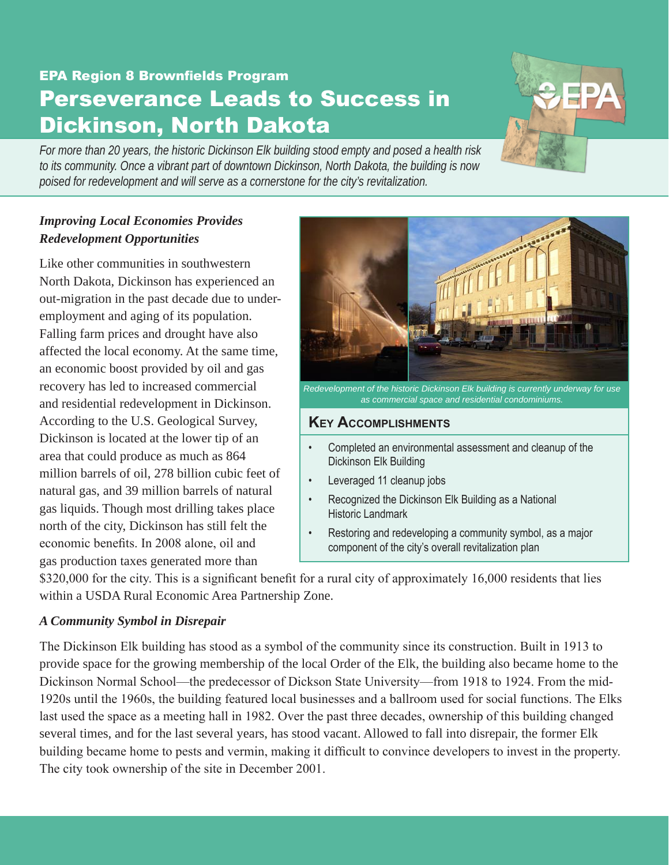# EPA Region 8 Brownfields Program Perseverance Leads to Success in Dickinson, North Dakota

*For more than 20 years, the historic Dickinson Elk building stood empty and posed a health risk to its community. Once a vibrant part of downtown Dickinson, North Dakota, the building is now poised for redevelopment and will serve as a cornerstone for the city's revitalization.*

## *Improving Local Economies Provides Redevelopment Opportunities*

Like other communities in southwestern North Dakota, Dickinson has experienced an out-migration in the past decade due to underemployment and aging of its population. Falling farm prices and drought have also affected the local economy. At the same time, an economic boost provided by oil and gas recovery has led to increased commercial and residential redevelopment in Dickinson. According to the U.S. Geological Survey, Dickinson is located at the lower tip of an area that could produce as much as 864 million barrels of oil, 278 billion cubic feet of natural gas, and 39 million barrels of natural gas liquids. Though most drilling takes place north of the city, Dickinson has still felt the economic benefits. In 2008 alone, oil and gas production taxes generated more than



# **Key Accomplishments**

- • Completed an environmental assessment and cleanup of the Dickinson Elk Building
- Leveraged 11 cleanup jobs
- Recognized the Dickinson Elk Building as a National Historic Landmark
- Restoring and redeveloping a community symbol, as a major component of the city's overall revitalization plan

\$320,000 for the city. This is a significant benefit for a rural city of approximately 16,000 residents that lies within a USDA Rural Economic Area Partnership Zone.

#### *A Community Symbol in Disrepair*

The Dickinson Elk building has stood as a symbol of the community since its construction. Built in 1913 to provide space for the growing membership of the local Order of the Elk, the building also became home to the Dickinson Normal School—the predecessor of Dickson State University—from 1918 to 1924. From the mid-1920s until the 1960s, the building featured local businesses and a ballroom used for social functions. The Elks last used the space as a meeting hall in 1982. Over the past three decades, ownership of this building changed several times, and for the last several years, has stood vacant. Allowed to fall into disrepair, the former Elk building became home to pests and vermin, making it difficult to convince developers to invest in the property. The city took ownership of the site in December 2001.